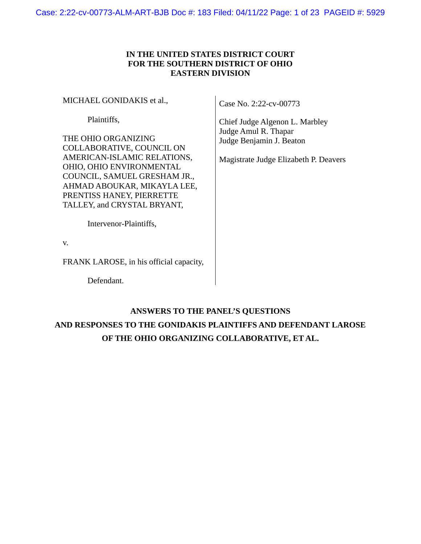## **IN THE UNITED STATES DISTRICT COURT FOR THE SOUTHERN DISTRICT OF OHIO EASTERN DIVISION**

MICHAEL GONIDAKIS et al.,

Plaintiffs,

THE OHIO ORGANIZING COLLABORATIVE, COUNCIL ON AMERICAN-ISLAMIC RELATIONS, OHIO, OHIO ENVIRONMENTAL COUNCIL, SAMUEL GRESHAM JR., AHMAD ABOUKAR, MIKAYLA LEE, PRENTISS HANEY, PIERRETTE TALLEY, and CRYSTAL BRYANT,

Case No. 2:22-cv-00773

Chief Judge Algenon L. Marbley Judge Amul R. Thapar Judge Benjamin J. Beaton

Magistrate Judge Elizabeth P. Deavers

Intervenor-Plaintiffs,

v.

FRANK LAROSE, in his official capacity,

Defendant.

## **ANSWERS TO THE PANEL'S QUESTIONS**

# **AND RESPONSES TO THE GONIDAKIS PLAINTIFFS AND DEFENDANT LAROSE OF THE OHIO ORGANIZING COLLABORATIVE, ET AL.**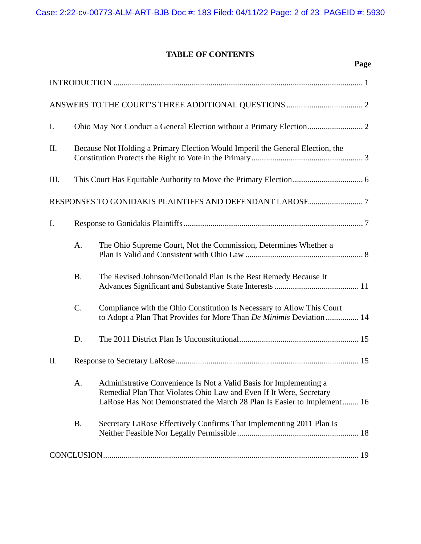## **TABLE OF CONTENTS**

**Page** 

| I.  |                                                                                |                                                                                                                                                                                                                      |
|-----|--------------------------------------------------------------------------------|----------------------------------------------------------------------------------------------------------------------------------------------------------------------------------------------------------------------|
| II. | Because Not Holding a Primary Election Would Imperil the General Election, the |                                                                                                                                                                                                                      |
| Ш.  |                                                                                |                                                                                                                                                                                                                      |
|     |                                                                                |                                                                                                                                                                                                                      |
| I.  |                                                                                |                                                                                                                                                                                                                      |
|     | A.                                                                             | The Ohio Supreme Court, Not the Commission, Determines Whether a                                                                                                                                                     |
|     | <b>B.</b>                                                                      | The Revised Johnson/McDonald Plan Is the Best Remedy Because It                                                                                                                                                      |
|     | C.                                                                             | Compliance with the Ohio Constitution Is Necessary to Allow This Court<br>to Adopt a Plan That Provides for More Than De Minimis Deviation  14                                                                       |
|     | D.                                                                             |                                                                                                                                                                                                                      |
| II. |                                                                                |                                                                                                                                                                                                                      |
|     | A.                                                                             | Administrative Convenience Is Not a Valid Basis for Implementing a<br>Remedial Plan That Violates Ohio Law and Even If It Were, Secretary<br>LaRose Has Not Demonstrated the March 28 Plan Is Easier to Implement 16 |
|     | <b>B.</b>                                                                      | Secretary LaRose Effectively Confirms That Implementing 2011 Plan Is                                                                                                                                                 |
|     |                                                                                |                                                                                                                                                                                                                      |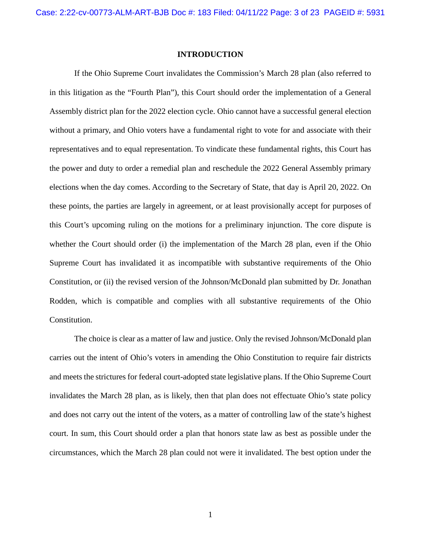#### <span id="page-2-0"></span>**INTRODUCTION**

If the Ohio Supreme Court invalidates the Commission's March 28 plan (also referred to in this litigation as the "Fourth Plan"), this Court should order the implementation of a General Assembly district plan for the 2022 election cycle. Ohio cannot have a successful general election without a primary, and Ohio voters have a fundamental right to vote for and associate with their representatives and to equal representation. To vindicate these fundamental rights, this Court has the power and duty to order a remedial plan and reschedule the 2022 General Assembly primary elections when the day comes. According to the Secretary of State, that day is April 20, 2022. On these points, the parties are largely in agreement, or at least provisionally accept for purposes of this Court's upcoming ruling on the motions for a preliminary injunction. The core dispute is whether the Court should order (i) the implementation of the March 28 plan, even if the Ohio Supreme Court has invalidated it as incompatible with substantive requirements of the Ohio Constitution, or (ii) the revised version of the Johnson/McDonald plan submitted by Dr. Jonathan Rodden, which is compatible and complies with all substantive requirements of the Ohio Constitution.

The choice is clear as a matter of law and justice. Only the revised Johnson/McDonald plan carries out the intent of Ohio's voters in amending the Ohio Constitution to require fair districts and meets the strictures for federal court-adopted state legislative plans. If the Ohio Supreme Court invalidates the March 28 plan, as is likely, then that plan does not effectuate Ohio's state policy and does not carry out the intent of the voters, as a matter of controlling law of the state's highest court. In sum, this Court should order a plan that honors state law as best as possible under the circumstances, which the March 28 plan could not were it invalidated. The best option under the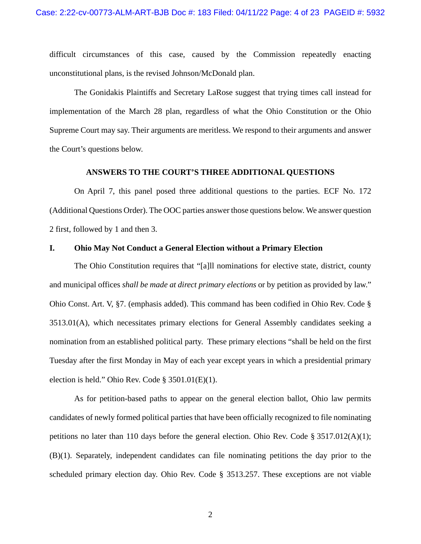difficult circumstances of this case, caused by the Commission repeatedly enacting unconstitutional plans, is the revised Johnson/McDonald plan.

The Gonidakis Plaintiffs and Secretary LaRose suggest that trying times call instead for implementation of the March 28 plan, regardless of what the Ohio Constitution or the Ohio Supreme Court may say. Their arguments are meritless. We respond to their arguments and answer the Court's questions below.

#### <span id="page-3-1"></span>**ANSWERS TO THE COURT'S THREE ADDITIONAL QUESTIONS**

<span id="page-3-0"></span>On April 7, this panel posed three additional questions to the parties. ECF No. 172 (Additional Questions Order). The OOC parties answer those questions below. We answer question 2 first, followed by 1 and then 3.

#### <span id="page-3-2"></span>**I. Ohio May Not Conduct a General Election without a Primary Election**

The Ohio Constitution requires that "[a]ll nominations for elective state, district, county and municipal offices *shall be made at direct primary elections* or by petition as provided by law." Ohio Const. Art. V, §7. (emphasis added). This command has been codified in Ohio Rev. Code § 3513.01(A), which necessitates primary elections for General Assembly candidates seeking a nomination from an established political party. These primary elections "shall be held on the first Tuesday after the first Monday in May of each year except years in which a presidential primary election is held." Ohio Rev. Code § 3501.01(E)(1).

As for petition-based paths to appear on the general election ballot, Ohio law permits candidates of newly formed political parties that have been officially recognized to file nominating petitions no later than 110 days before the general election. Ohio Rev. Code § 3517.012(A)(1); (B)(1). Separately, independent candidates can file nominating petitions the day prior to the scheduled primary election day. Ohio Rev. Code § 3513.257. These exceptions are not viable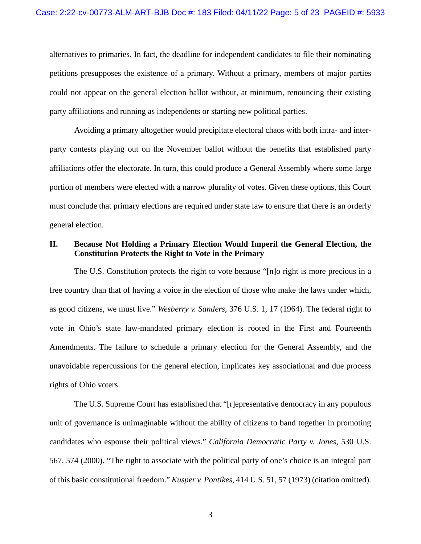alternatives to primaries. In fact, the deadline for independent candidates to file their nominating petitions presupposes the existence of a primary. Without a primary, members of major parties could not appear on the general election ballot without, at minimum, renouncing their existing party affiliations and running as independents or starting new political parties.

Avoiding a primary altogether would precipitate electoral chaos with both intra- and interparty contests playing out on the November ballot without the benefits that established party affiliations offer the electorate. In turn, this could produce a General Assembly where some large portion of members were elected with a narrow plurality of votes. Given these options, this Court must conclude that primary elections are required under state law to ensure that there is an orderly general election.

## <span id="page-4-0"></span>**II. Because Not Holding a Primary Election Would Imperil the General Election, the Constitution Protects the Right to Vote in the Primary**

The U.S. Constitution protects the right to vote because "[n]o right is more precious in a free country than that of having a voice in the election of those who make the laws under which, as good citizens, we must live." *Wesberry v. Sanders*, 376 U.S. 1, 17 (1964). The federal right to vote in Ohio's state law-mandated primary election is rooted in the First and Fourteenth Amendments. The failure to schedule a primary election for the General Assembly, and the unavoidable repercussions for the general election, implicates key associational and due process rights of Ohio voters.

The U.S. Supreme Court has established that "[r]epresentative democracy in any populous unit of governance is unimaginable without the ability of citizens to band together in promoting candidates who espouse their political views." *California Democratic Party v. Jones*, 530 U.S. 567, 574 (2000). "The right to associate with the political party of one's choice is an integral part of this basic constitutional freedom." *Kusper v. Pontikes*, 414 U.S. 51, 57 (1973) (citation omitted).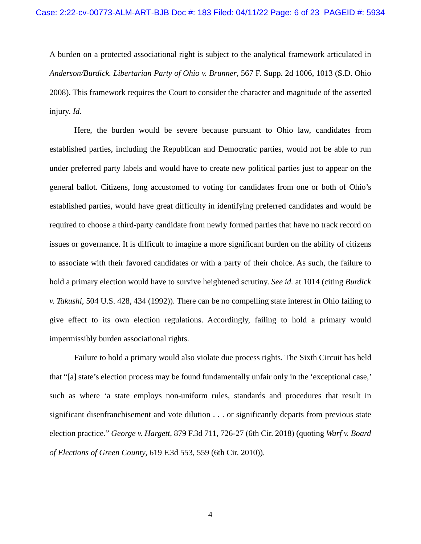A burden on a protected associational right is subject to the analytical framework articulated in *Anderson/Burdick. Libertarian Party of Ohio v. Brunner*, 567 F. Supp. 2d 1006, 1013 (S.D. Ohio 2008). This framework requires the Court to consider the character and magnitude of the asserted injury. *Id.*

Here, the burden would be severe because pursuant to Ohio law, candidates from established parties, including the Republican and Democratic parties, would not be able to run under preferred party labels and would have to create new political parties just to appear on the general ballot. Citizens, long accustomed to voting for candidates from one or both of Ohio's established parties, would have great difficulty in identifying preferred candidates and would be required to choose a third-party candidate from newly formed parties that have no track record on issues or governance. It is difficult to imagine a more significant burden on the ability of citizens to associate with their favored candidates or with a party of their choice. As such, the failure to hold a primary election would have to survive heightened scrutiny. *See id.* at 1014 (citing *Burdick v. Takushi*, 504 U.S. 428, 434 (1992)). There can be no compelling state interest in Ohio failing to give effect to its own election regulations. Accordingly, failing to hold a primary would impermissibly burden associational rights.

Failure to hold a primary would also violate due process rights. The Sixth Circuit has held that "[a] state's election process may be found fundamentally unfair only in the 'exceptional case,' such as where 'a state employs non-uniform rules, standards and procedures that result in significant disenfranchisement and vote dilution . . . or significantly departs from previous state election practice." *George v. Hargett*, 879 F.3d 711, 726-27 (6th Cir. 2018) (quoting *Warf v. Board of Elections of Green County*, 619 F.3d 553, 559 (6th Cir. 2010)).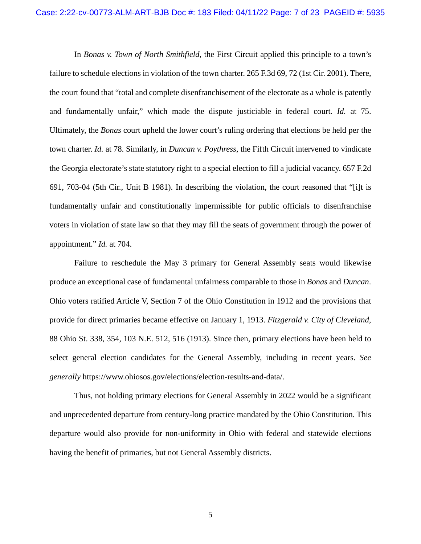In *Bonas v. Town of North Smithfield*, the First Circuit applied this principle to a town's failure to schedule elections in violation of the town charter. 265 F.3d 69, 72 (1st Cir. 2001). There, the court found that "total and complete disenfranchisement of the electorate as a whole is patently and fundamentally unfair," which made the dispute justiciable in federal court. *Id.* at 75. Ultimately, the *Bonas* court upheld the lower court's ruling ordering that elections be held per the town charter. *Id.* at 78. Similarly, in *Duncan v. Poythress*, the Fifth Circuit intervened to vindicate the Georgia electorate's state statutory right to a special election to fill a judicial vacancy. 657 F.2d 691, 703-04 (5th Cir., Unit B 1981). In describing the violation, the court reasoned that "[i]t is fundamentally unfair and constitutionally impermissible for public officials to disenfranchise voters in violation of state law so that they may fill the seats of government through the power of appointment." *Id.* at 704.

Failure to reschedule the May 3 primary for General Assembly seats would likewise produce an exceptional case of fundamental unfairness comparable to those in *Bonas* and *Duncan*. Ohio voters ratified Article V, Section 7 of the Ohio Constitution in 1912 and the provisions that provide for direct primaries became effective on January 1, 1913. *Fitzgerald v. City of Cleveland*, 88 Ohio St. 338, 354, 103 N.E. 512, 516 (1913). Since then, primary elections have been held to select general election candidates for the General Assembly, including in recent years. *See generally* https://www.ohiosos.gov/elections/election-results-and-data/.

Thus, not holding primary elections for General Assembly in 2022 would be a significant and unprecedented departure from century-long practice mandated by the Ohio Constitution. This departure would also provide for non-uniformity in Ohio with federal and statewide elections having the benefit of primaries, but not General Assembly districts.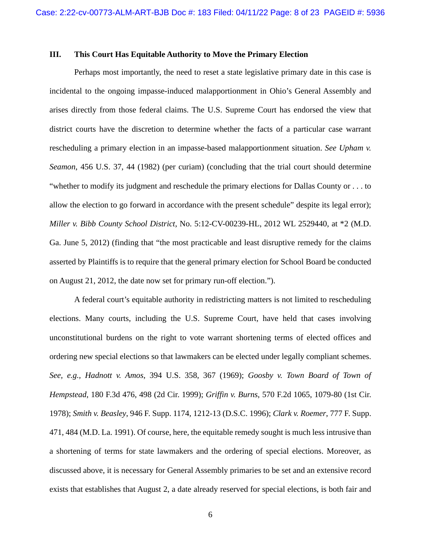### <span id="page-7-0"></span>**III. This Court Has Equitable Authority to Move the Primary Election**

Perhaps most importantly, the need to reset a state legislative primary date in this case is incidental to the ongoing impasse-induced malapportionment in Ohio's General Assembly and arises directly from those federal claims. The U.S. Supreme Court has endorsed the view that district courts have the discretion to determine whether the facts of a particular case warrant rescheduling a primary election in an impasse-based malapportionment situation. *See Upham v. Seamon*, 456 U.S. 37, 44 (1982) (per curiam) (concluding that the trial court should determine "whether to modify its judgment and reschedule the primary elections for Dallas County or . . . to allow the election to go forward in accordance with the present schedule" despite its legal error); *Miller v. Bibb County School District*, No. 5:12-CV-00239-HL, 2012 WL 2529440, at \*2 (M.D. Ga. June 5, 2012) (finding that "the most practicable and least disruptive remedy for the claims asserted by Plaintiffs is to require that the general primary election for School Board be conducted on August 21, 2012, the date now set for primary run-off election.").

A federal court's equitable authority in redistricting matters is not limited to rescheduling elections. Many courts, including the U.S. Supreme Court, have held that cases involving unconstitutional burdens on the right to vote warrant shortening terms of elected offices and ordering new special elections so that lawmakers can be elected under legally compliant schemes. *See, e.g., Hadnott v. Amos*, 394 U.S. 358, 367 (1969); *Goosby v. Town Board of Town of Hempstead*, 180 F.3d 476, 498 (2d Cir. 1999); *Griffin v. Burns*, 570 F.2d 1065, 1079-80 (1st Cir. 1978); *Smith v. Beasley*, 946 F. Supp. 1174, 1212-13 (D.S.C. 1996); *Clark v. Roemer*, 777 F. Supp. 471, 484 (M.D. La. 1991). Of course, here, the equitable remedy sought is much less intrusive than a shortening of terms for state lawmakers and the ordering of special elections. Moreover, as discussed above, it is necessary for General Assembly primaries to be set and an extensive record exists that establishes that August 2, a date already reserved for special elections, is both fair and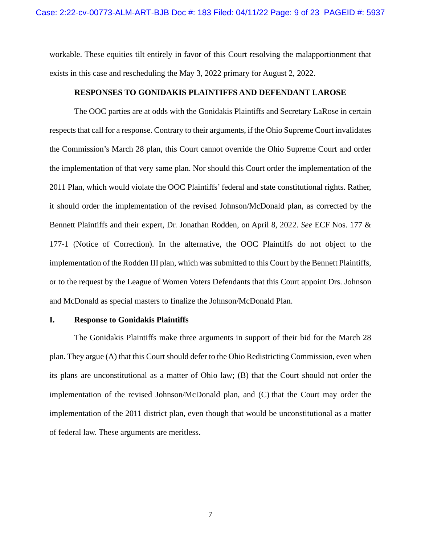workable. These equities tilt entirely in favor of this Court resolving the malapportionment that exists in this case and rescheduling the May 3, 2022 primary for August 2, 2022.

#### <span id="page-8-0"></span>**RESPONSES TO GONIDAKIS PLAINTIFFS AND DEFENDANT LAROSE**

The OOC parties are at odds with the Gonidakis Plaintiffs and Secretary LaRose in certain respects that call for a response. Contrary to their arguments, if the Ohio Supreme Court invalidates the Commission's March 28 plan, this Court cannot override the Ohio Supreme Court and order the implementation of that very same plan. Nor should this Court order the implementation of the 2011 Plan, which would violate the OOC Plaintiffs' federal and state constitutional rights. Rather, it should order the implementation of the revised Johnson/McDonald plan, as corrected by the Bennett Plaintiffs and their expert, Dr. Jonathan Rodden, on April 8, 2022. *See* ECF Nos. 177 & 177-1 (Notice of Correction). In the alternative, the OOC Plaintiffs do not object to the implementation of the Rodden III plan, which was submitted to this Court by the Bennett Plaintiffs, or to the request by the League of Women Voters Defendants that this Court appoint Drs. Johnson and McDonald as special masters to finalize the Johnson/McDonald Plan.

#### <span id="page-8-1"></span>**I. Response to Gonidakis Plaintiffs**

The Gonidakis Plaintiffs make three arguments in support of their bid for the March 28 plan. They argue (A) that this Court should defer to the Ohio Redistricting Commission, even when its plans are unconstitutional as a matter of Ohio law; (B) that the Court should not order the implementation of the revised Johnson/McDonald plan, and (C) that the Court may order the implementation of the 2011 district plan, even though that would be unconstitutional as a matter of federal law. These arguments are meritless.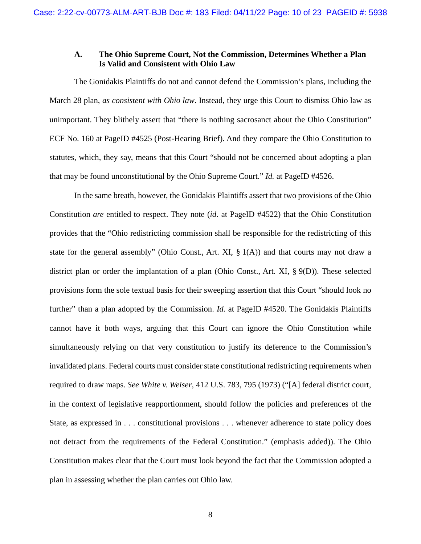## <span id="page-9-0"></span>**A. The Ohio Supreme Court, Not the Commission, Determines Whether a Plan Is Valid and Consistent with Ohio Law**

The Gonidakis Plaintiffs do not and cannot defend the Commission's plans, including the March 28 plan, *as consistent with Ohio law*. Instead, they urge this Court to dismiss Ohio law as unimportant. They blithely assert that "there is nothing sacrosanct about the Ohio Constitution" ECF No. 160 at PageID #4525 (Post-Hearing Brief). And they compare the Ohio Constitution to statutes, which, they say, means that this Court "should not be concerned about adopting a plan that may be found unconstitutional by the Ohio Supreme Court." *Id.* at PageID #4526.

In the same breath, however, the Gonidakis Plaintiffs assert that two provisions of the Ohio Constitution *are* entitled to respect. They note (*id.* at PageID #4522) that the Ohio Constitution provides that the "Ohio redistricting commission shall be responsible for the redistricting of this state for the general assembly" (Ohio Const., Art. XI,  $\S$  1(A)) and that courts may not draw a district plan or order the implantation of a plan (Ohio Const., Art. XI, § 9(D)). These selected provisions form the sole textual basis for their sweeping assertion that this Court "should look no further" than a plan adopted by the Commission. *Id.* at PageID #4520. The Gonidakis Plaintiffs cannot have it both ways, arguing that this Court can ignore the Ohio Constitution while simultaneously relying on that very constitution to justify its deference to the Commission's invalidated plans. Federal courts must consider state constitutional redistricting requirements when required to draw maps. *See White v. Weiser*, 412 U.S. 783, 795 (1973) ("[A] federal district court, in the context of legislative reapportionment, should follow the policies and preferences of the State, as expressed in . . . constitutional provisions . . . whenever adherence to state policy does not detract from the requirements of the Federal Constitution." (emphasis added)). The Ohio Constitution makes clear that the Court must look beyond the fact that the Commission adopted a plan in assessing whether the plan carries out Ohio law.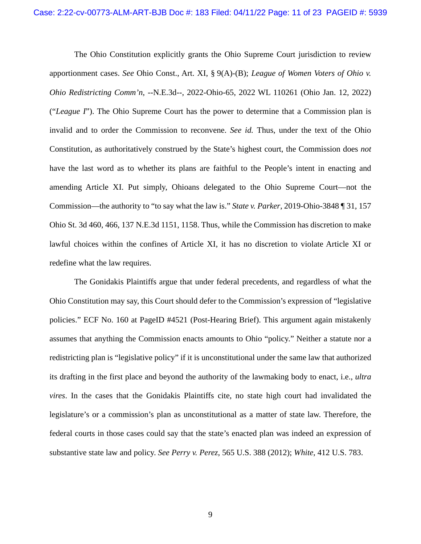The Ohio Constitution explicitly grants the Ohio Supreme Court jurisdiction to review apportionment cases. *See* Ohio Const., Art. XI, § 9(A)-(B); *League of Women Voters of Ohio v. Ohio Redistricting Comm'n*, --N.E.3d--, 2022-Ohio-65, 2022 WL 110261 (Ohio Jan. 12, 2022) ("*League I*"). The Ohio Supreme Court has the power to determine that a Commission plan is invalid and to order the Commission to reconvene. *See id.* Thus, under the text of the Ohio Constitution, as authoritatively construed by the State's highest court, the Commission does *not* have the last word as to whether its plans are faithful to the People's intent in enacting and amending Article XI. Put simply, Ohioans delegated to the Ohio Supreme Court—not the Commission—the authority to "to say what the law is." *State v. Parker*, 2019-Ohio-3848 ¶ 31, 157 Ohio St. 3d 460, 466, 137 N.E.3d 1151, 1158. Thus, while the Commission has discretion to make lawful choices within the confines of Article XI, it has no discretion to violate Article XI or redefine what the law requires.

The Gonidakis Plaintiffs argue that under federal precedents, and regardless of what the Ohio Constitution may say, this Court should defer to the Commission's expression of "legislative policies." ECF No. 160 at PageID #4521 (Post-Hearing Brief). This argument again mistakenly assumes that anything the Commission enacts amounts to Ohio "policy." Neither a statute nor a redistricting plan is "legislative policy" if it is unconstitutional under the same law that authorized its drafting in the first place and beyond the authority of the lawmaking body to enact, i.e., *ultra vires*. In the cases that the Gonidakis Plaintiffs cite, no state high court had invalidated the legislature's or a commission's plan as unconstitutional as a matter of state law. Therefore, the federal courts in those cases could say that the state's enacted plan was indeed an expression of substantive state law and policy. *See Perry v. Perez*, 565 U.S. 388 (2012); *White*, 412 U.S. 783.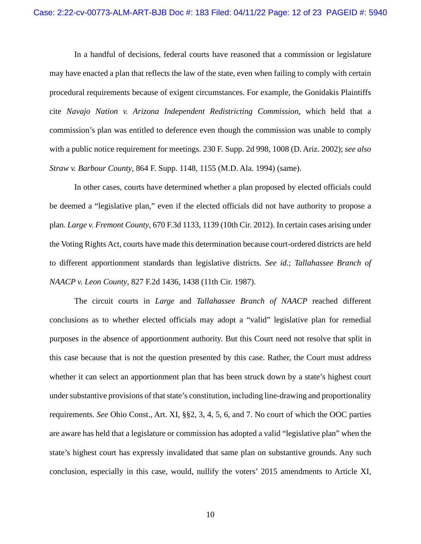In a handful of decisions, federal courts have reasoned that a commission or legislature may have enacted a plan that reflects the law of the state, even when failing to comply with certain procedural requirements because of exigent circumstances. For example, the Gonidakis Plaintiffs cite *Navajo Nation v. Arizona Independent Redistricting Commission*, which held that a commission's plan was entitled to deference even though the commission was unable to comply with a public notice requirement for meetings. 230 F. Supp. 2d 998, 1008 (D. Ariz. 2002); *see also Straw v. Barbour County*, 864 F. Supp. 1148, 1155 (M.D. Ala. 1994) (same).

In other cases, courts have determined whether a plan proposed by elected officials could be deemed a "legislative plan," even if the elected officials did not have authority to propose a plan. *Large v. Fremont County*, 670 F.3d 1133, 1139 (10th Cir. 2012). In certain cases arising under the Voting Rights Act, courts have made this determination because court-ordered districts are held to different apportionment standards than legislative districts. *See id.*; *Tallahassee Branch of NAACP v. Leon County*, 827 F.2d 1436, 1438 (11th Cir. 1987).

The circuit courts in *Large* and *Tallahassee Branch of NAACP* reached different conclusions as to whether elected officials may adopt a "valid" legislative plan for remedial purposes in the absence of apportionment authority. But this Court need not resolve that split in this case because that is not the question presented by this case. Rather, the Court must address whether it can select an apportionment plan that has been struck down by a state's highest court under substantive provisions of that state's constitution, including line-drawing and proportionality requirements. *See* Ohio Const., Art. XI, §§2, 3, 4, 5, 6, and 7. No court of which the OOC parties are aware has held that a legislature or commission has adopted a valid "legislative plan" when the state's highest court has expressly invalidated that same plan on substantive grounds. Any such conclusion, especially in this case, would, nullify the voters' 2015 amendments to Article XI,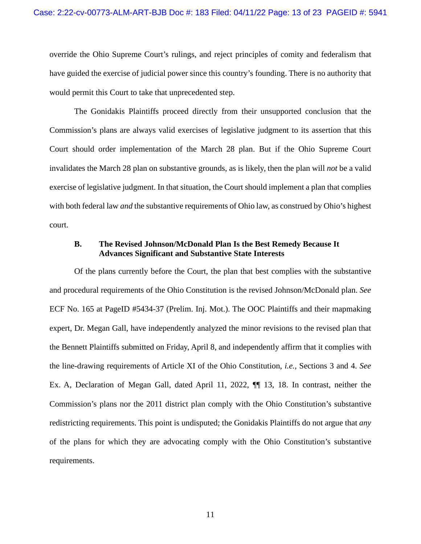override the Ohio Supreme Court's rulings, and reject principles of comity and federalism that have guided the exercise of judicial power since this country's founding. There is no authority that would permit this Court to take that unprecedented step.

The Gonidakis Plaintiffs proceed directly from their unsupported conclusion that the Commission's plans are always valid exercises of legislative judgment to its assertion that this Court should order implementation of the March 28 plan. But if the Ohio Supreme Court invalidates the March 28 plan on substantive grounds, as is likely, then the plan will *not* be a valid exercise of legislative judgment. In that situation, the Court should implement a plan that complies with both federal law *and* the substantive requirements of Ohio law, as construed by Ohio's highest court.

### <span id="page-12-0"></span>**B. The Revised Johnson/McDonald Plan Is the Best Remedy Because It Advances Significant and Substantive State Interests**

Of the plans currently before the Court, the plan that best complies with the substantive and procedural requirements of the Ohio Constitution is the revised Johnson/McDonald plan. *See* ECF No. 165 at PageID #5434-37 (Prelim. Inj. Mot.). The OOC Plaintiffs and their mapmaking expert, Dr. Megan Gall, have independently analyzed the minor revisions to the revised plan that the Bennett Plaintiffs submitted on Friday, April 8, and independently affirm that it complies with the line-drawing requirements of Article XI of the Ohio Constitution, *i.e.*, Sections 3 and 4. *See* Ex. A, Declaration of Megan Gall, dated April 11, 2022, ¶¶ 13, 18. In contrast, neither the Commission's plans nor the 2011 district plan comply with the Ohio Constitution's substantive redistricting requirements. This point is undisputed; the Gonidakis Plaintiffs do not argue that *any* of the plans for which they are advocating comply with the Ohio Constitution's substantive requirements.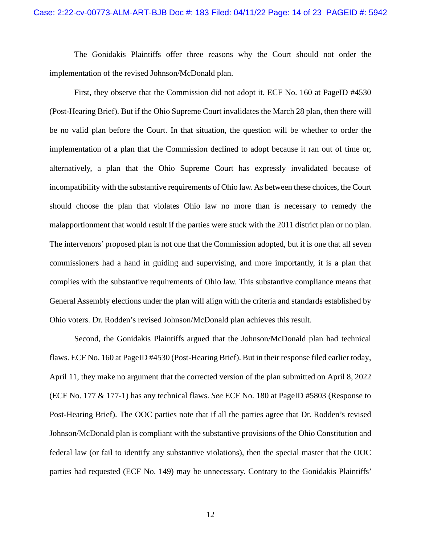The Gonidakis Plaintiffs offer three reasons why the Court should not order the implementation of the revised Johnson/McDonald plan.

First, they observe that the Commission did not adopt it. ECF No. 160 at PageID #4530 (Post-Hearing Brief). But if the Ohio Supreme Court invalidates the March 28 plan, then there will be no valid plan before the Court. In that situation, the question will be whether to order the implementation of a plan that the Commission declined to adopt because it ran out of time or, alternatively, a plan that the Ohio Supreme Court has expressly invalidated because of incompatibility with the substantive requirements of Ohio law. As between these choices, the Court should choose the plan that violates Ohio law no more than is necessary to remedy the malapportionment that would result if the parties were stuck with the 2011 district plan or no plan. The intervenors' proposed plan is not one that the Commission adopted, but it is one that all seven commissioners had a hand in guiding and supervising, and more importantly, it is a plan that complies with the substantive requirements of Ohio law. This substantive compliance means that General Assembly elections under the plan will align with the criteria and standards established by Ohio voters. Dr. Rodden's revised Johnson/McDonald plan achieves this result.

Second, the Gonidakis Plaintiffs argued that the Johnson/McDonald plan had technical flaws. ECF No. 160 at PageID #4530 (Post-Hearing Brief). But in their response filed earlier today, April 11, they make no argument that the corrected version of the plan submitted on April 8, 2022 (ECF No. 177 & 177-1) has any technical flaws. *See* ECF No. 180 at PageID #5803 (Response to Post-Hearing Brief). The OOC parties note that if all the parties agree that Dr. Rodden's revised Johnson/McDonald plan is compliant with the substantive provisions of the Ohio Constitution and federal law (or fail to identify any substantive violations), then the special master that the OOC parties had requested (ECF No. 149) may be unnecessary. Contrary to the Gonidakis Plaintiffs'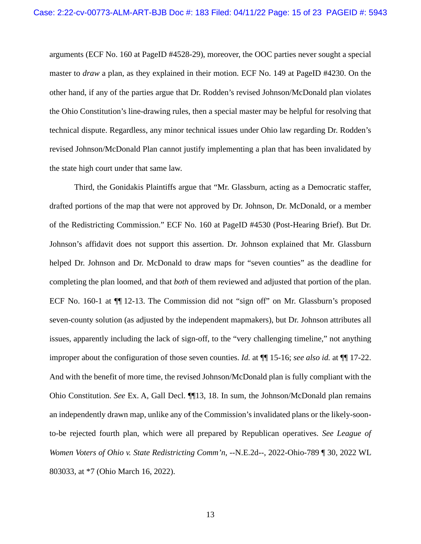arguments (ECF No. 160 at PageID #4528-29), moreover, the OOC parties never sought a special master to *draw* a plan, as they explained in their motion. ECF No. 149 at PageID #4230. On the other hand, if any of the parties argue that Dr. Rodden's revised Johnson/McDonald plan violates the Ohio Constitution's line-drawing rules, then a special master may be helpful for resolving that technical dispute. Regardless, any minor technical issues under Ohio law regarding Dr. Rodden's revised Johnson/McDonald Plan cannot justify implementing a plan that has been invalidated by the state high court under that same law.

Third, the Gonidakis Plaintiffs argue that "Mr. Glassburn, acting as a Democratic staffer, drafted portions of the map that were not approved by Dr. Johnson, Dr. McDonald, or a member of the Redistricting Commission." ECF No. 160 at PageID #4530 (Post-Hearing Brief). But Dr. Johnson's affidavit does not support this assertion. Dr. Johnson explained that Mr. Glassburn helped Dr. Johnson and Dr. McDonald to draw maps for "seven counties" as the deadline for completing the plan loomed, and that *both* of them reviewed and adjusted that portion of the plan. ECF No. 160-1 at ¶¶ 12-13. The Commission did not "sign off" on Mr. Glassburn's proposed seven-county solution (as adjusted by the independent mapmakers), but Dr. Johnson attributes all issues, apparently including the lack of sign-off, to the "very challenging timeline," not anything improper about the configuration of those seven counties. *Id.* at ¶¶ 15-16; *see also id.* at ¶¶ 17-22. And with the benefit of more time, the revised Johnson/McDonald plan is fully compliant with the Ohio Constitution. *See* Ex. A, Gall Decl. ¶¶13, 18. In sum, the Johnson/McDonald plan remains an independently drawn map, unlike any of the Commission's invalidated plans or the likely-soonto-be rejected fourth plan, which were all prepared by Republican operatives. *See League of Women Voters of Ohio v. State Redistricting Comm'n*, --N.E.2d--, 2022-Ohio-789 ¶ 30, 2022 WL 803033, at \*7 (Ohio March 16, 2022).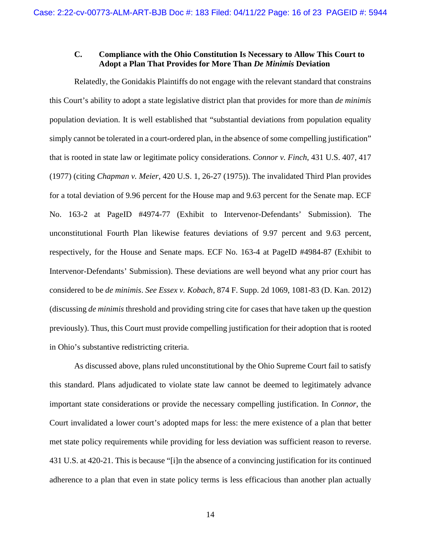## <span id="page-15-0"></span>**C. Compliance with the Ohio Constitution Is Necessary to Allow This Court to Adopt a Plan That Provides for More Than** *De Minimis* **Deviation**

Relatedly, the Gonidakis Plaintiffs do not engage with the relevant standard that constrains this Court's ability to adopt a state legislative district plan that provides for more than *de minimis*  population deviation. It is well established that "substantial deviations from population equality simply cannot be tolerated in a court-ordered plan, in the absence of some compelling justification" that is rooted in state law or legitimate policy considerations. *Connor v. Finch*, 431 U.S. 407, 417 (1977) (citing *Chapman v. Meier*, 420 U.S. 1, 26-27 (1975)). The invalidated Third Plan provides for a total deviation of 9.96 percent for the House map and 9.63 percent for the Senate map. ECF No. 163-2 at PageID #4974-77 (Exhibit to Intervenor-Defendants' Submission). The unconstitutional Fourth Plan likewise features deviations of 9.97 percent and 9.63 percent, respectively, for the House and Senate maps. ECF No. 163-4 at PageID #4984-87 (Exhibit to Intervenor-Defendants' Submission). These deviations are well beyond what any prior court has considered to be *de minimis*. *See Essex v. Kobach*, 874 F. Supp. 2d 1069, 1081-83 (D. Kan. 2012) (discussing *de minimis* threshold and providing string cite for cases that have taken up the question previously). Thus, this Court must provide compelling justification for their adoption that is rooted in Ohio's substantive redistricting criteria.

As discussed above, plans ruled unconstitutional by the Ohio Supreme Court fail to satisfy this standard. Plans adjudicated to violate state law cannot be deemed to legitimately advance important state considerations or provide the necessary compelling justification. In *Connor*, the Court invalidated a lower court's adopted maps for less: the mere existence of a plan that better met state policy requirements while providing for less deviation was sufficient reason to reverse. 431 U.S. at 420-21. This is because "[i]n the absence of a convincing justification for its continued adherence to a plan that even in state policy terms is less efficacious than another plan actually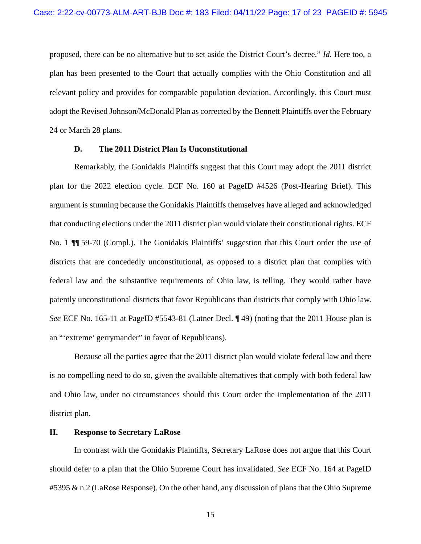proposed, there can be no alternative but to set aside the District Court's decree." *Id.* Here too, a plan has been presented to the Court that actually complies with the Ohio Constitution and all relevant policy and provides for comparable population deviation. Accordingly, this Court must adopt the Revised Johnson/McDonald Plan as corrected by the Bennett Plaintiffs over the February 24 or March 28 plans.

### <span id="page-16-0"></span>**D. The 2011 District Plan Is Unconstitutional**

Remarkably, the Gonidakis Plaintiffs suggest that this Court may adopt the 2011 district plan for the 2022 election cycle. ECF No. 160 at PageID #4526 (Post-Hearing Brief). This argument is stunning because the Gonidakis Plaintiffs themselves have alleged and acknowledged that conducting elections under the 2011 district plan would violate their constitutional rights. ECF No. 1 ¶¶ 59-70 (Compl.). The Gonidakis Plaintiffs' suggestion that this Court order the use of districts that are concededly unconstitutional, as opposed to a district plan that complies with federal law and the substantive requirements of Ohio law, is telling. They would rather have patently unconstitutional districts that favor Republicans than districts that comply with Ohio law. *See* ECF No. 165-11 at PageID #5543-81 (Latner Decl. ¶ 49) (noting that the 2011 House plan is an "'extreme' gerrymander" in favor of Republicans).

Because all the parties agree that the 2011 district plan would violate federal law and there is no compelling need to do so, given the available alternatives that comply with both federal law and Ohio law, under no circumstances should this Court order the implementation of the 2011 district plan.

### <span id="page-16-1"></span>**II. Response to Secretary LaRose**

In contrast with the Gonidakis Plaintiffs, Secretary LaRose does not argue that this Court should defer to a plan that the Ohio Supreme Court has invalidated. *See* ECF No. 164 at PageID #5395 & n.2 (LaRose Response). On the other hand, any discussion of plans that the Ohio Supreme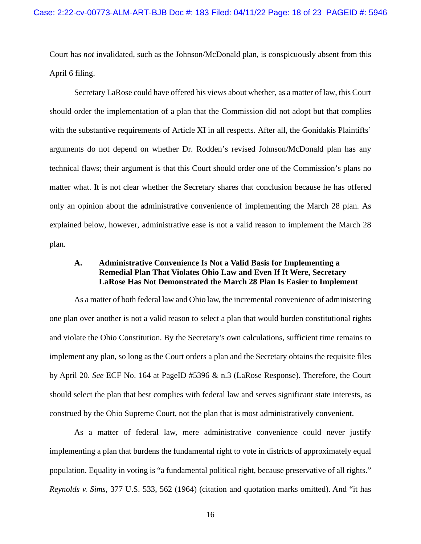Court has *not* invalidated, such as the Johnson/McDonald plan, is conspicuously absent from this April 6 filing.

Secretary LaRose could have offered his views about whether, as a matter of law, this Court should order the implementation of a plan that the Commission did not adopt but that complies with the substantive requirements of Article XI in all respects. After all, the Gonidakis Plaintiffs' arguments do not depend on whether Dr. Rodden's revised Johnson/McDonald plan has any technical flaws; their argument is that this Court should order one of the Commission's plans no matter what. It is not clear whether the Secretary shares that conclusion because he has offered only an opinion about the administrative convenience of implementing the March 28 plan. As explained below, however, administrative ease is not a valid reason to implement the March 28 plan.

## <span id="page-17-0"></span>**A. Administrative Convenience Is Not a Valid Basis for Implementing a Remedial Plan That Violates Ohio Law and Even If It Were, Secretary LaRose Has Not Demonstrated the March 28 Plan Is Easier to Implement**

As a matter of both federal law and Ohio law, the incremental convenience of administering one plan over another is not a valid reason to select a plan that would burden constitutional rights and violate the Ohio Constitution. By the Secretary's own calculations, sufficient time remains to implement any plan, so long as the Court orders a plan and the Secretary obtains the requisite files by April 20. *See* ECF No. 164 at PageID #5396 & n.3 (LaRose Response). Therefore, the Court should select the plan that best complies with federal law and serves significant state interests, as construed by the Ohio Supreme Court, not the plan that is most administratively convenient.

As a matter of federal law, mere administrative convenience could never justify implementing a plan that burdens the fundamental right to vote in districts of approximately equal population. Equality in voting is "a fundamental political right, because preservative of all rights." *Reynolds v. Sims*, 377 U.S. 533, 562 (1964) (citation and quotation marks omitted). And "it has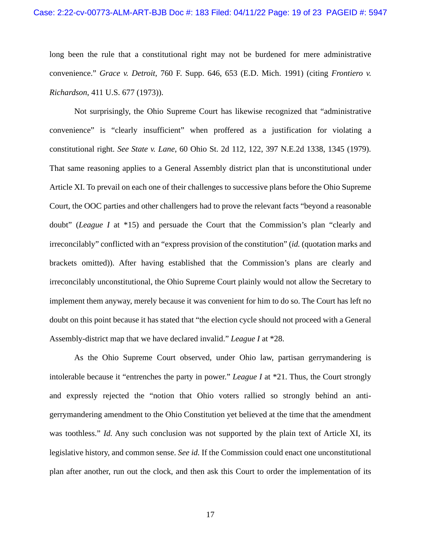long been the rule that a constitutional right may not be burdened for mere administrative convenience." *Grace v. Detroit*, 760 F. Supp. 646, 653 (E.D. Mich. 1991) (citing *Frontiero v. Richardson*, 411 U.S. 677 (1973)).

Not surprisingly, the Ohio Supreme Court has likewise recognized that "administrative convenience" is "clearly insufficient" when proffered as a justification for violating a constitutional right. *See State v. Lane*, 60 Ohio St. 2d 112, 122, 397 N.E.2d 1338, 1345 (1979). That same reasoning applies to a General Assembly district plan that is unconstitutional under Article XI. To prevail on each one of their challenges to successive plans before the Ohio Supreme Court, the OOC parties and other challengers had to prove the relevant facts "beyond a reasonable doubt" (*League I* at \*15) and persuade the Court that the Commission's plan "clearly and irreconcilably" conflicted with an "express provision of the constitution" (*id.* (quotation marks and brackets omitted)). After having established that the Commission's plans are clearly and irreconcilably unconstitutional, the Ohio Supreme Court plainly would not allow the Secretary to implement them anyway, merely because it was convenient for him to do so. The Court has left no doubt on this point because it has stated that "the election cycle should not proceed with a General Assembly-district map that we have declared invalid." *League I* at \*28.

As the Ohio Supreme Court observed, under Ohio law, partisan gerrymandering is intolerable because it "entrenches the party in power." *League I* at \*21. Thus, the Court strongly and expressly rejected the "notion that Ohio voters rallied so strongly behind an antigerrymandering amendment to the Ohio Constitution yet believed at the time that the amendment was toothless." *Id.* Any such conclusion was not supported by the plain text of Article XI, its legislative history, and common sense. *See id.* If the Commission could enact one unconstitutional plan after another, run out the clock, and then ask this Court to order the implementation of its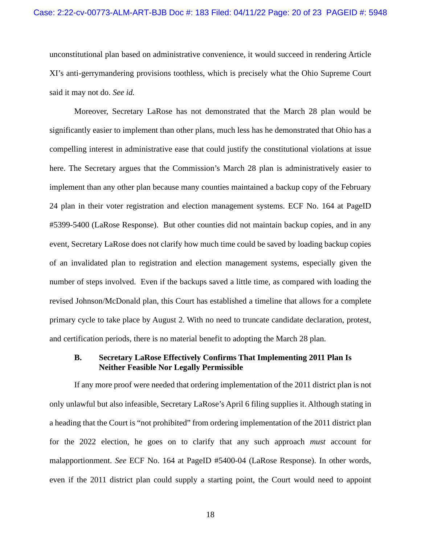unconstitutional plan based on administrative convenience, it would succeed in rendering Article XI's anti-gerrymandering provisions toothless, which is precisely what the Ohio Supreme Court said it may not do. *See id.*

Moreover, Secretary LaRose has not demonstrated that the March 28 plan would be significantly easier to implement than other plans, much less has he demonstrated that Ohio has a compelling interest in administrative ease that could justify the constitutional violations at issue here. The Secretary argues that the Commission's March 28 plan is administratively easier to implement than any other plan because many counties maintained a backup copy of the February 24 plan in their voter registration and election management systems. ECF No. 164 at PageID #5399-5400 (LaRose Response). But other counties did not maintain backup copies, and in any event, Secretary LaRose does not clarify how much time could be saved by loading backup copies of an invalidated plan to registration and election management systems, especially given the number of steps involved. Even if the backups saved a little time, as compared with loading the revised Johnson/McDonald plan, this Court has established a timeline that allows for a complete primary cycle to take place by August 2. With no need to truncate candidate declaration, protest, and certification periods, there is no material benefit to adopting the March 28 plan.

## <span id="page-19-0"></span>**B. Secretary LaRose Effectively Confirms That Implementing 2011 Plan Is Neither Feasible Nor Legally Permissible**

If any more proof were needed that ordering implementation of the 2011 district plan is not only unlawful but also infeasible, Secretary LaRose's April 6 filing supplies it. Although stating in a heading that the Court is "not prohibited" from ordering implementation of the 2011 district plan for the 2022 election, he goes on to clarify that any such approach *must* account for malapportionment. *See* ECF No. 164 at PageID #5400-04 (LaRose Response). In other words, even if the 2011 district plan could supply a starting point, the Court would need to appoint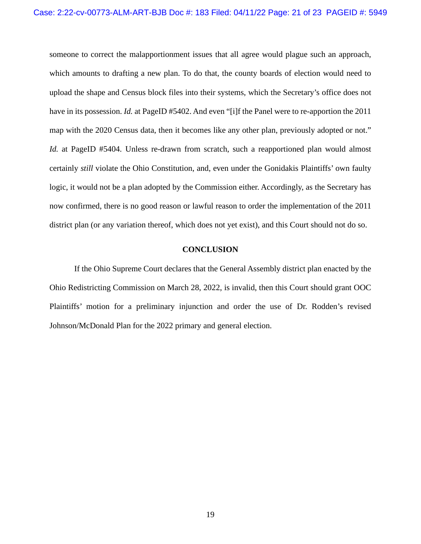someone to correct the malapportionment issues that all agree would plague such an approach, which amounts to drafting a new plan. To do that, the county boards of election would need to upload the shape and Census block files into their systems, which the Secretary's office does not have in its possession. *Id.* at PageID #5402. And even "[i]f the Panel were to re-apportion the 2011 map with the 2020 Census data, then it becomes like any other plan, previously adopted or not." *Id.* at PageID #5404. Unless re-drawn from scratch, such a reapportioned plan would almost certainly *still* violate the Ohio Constitution, and, even under the Gonidakis Plaintiffs' own faulty logic, it would not be a plan adopted by the Commission either. Accordingly, as the Secretary has now confirmed, there is no good reason or lawful reason to order the implementation of the 2011 district plan (or any variation thereof, which does not yet exist), and this Court should not do so.

### **CONCLUSION**

<span id="page-20-0"></span>If the Ohio Supreme Court declares that the General Assembly district plan enacted by the Ohio Redistricting Commission on March 28, 2022, is invalid, then this Court should grant OOC Plaintiffs' motion for a preliminary injunction and order the use of Dr. Rodden's revised Johnson/McDonald Plan for the 2022 primary and general election.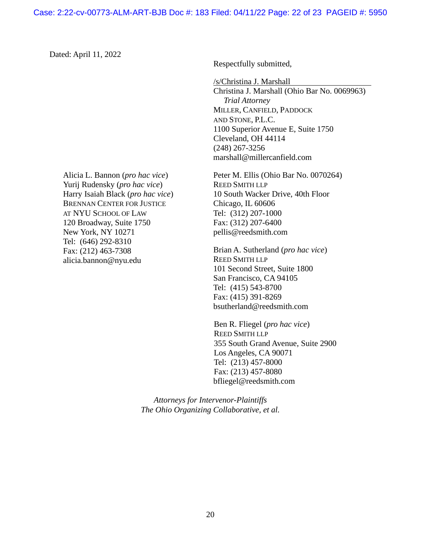### Case: 2:22-cv-00773-ALM-ART-BJB Doc #: 183 Filed: 04/11/22 Page: 22 of 23 PAGEID #: 5950

Dated: April 11, 2022

Alicia L. Bannon (*pro hac vice*) Yurij Rudensky (*pro hac vice*) Harry Isaiah Black (*pro hac vice*) BRENNAN CENTER FOR JUSTICE AT NYU SCHOOL OF LAW 120 Broadway, Suite 1750 New York, NY 10271 Tel: (646) 292-8310 Fax: (212) 463-7308 alicia.bannon@nyu.edu

Respectfully submitted,

/s/Christina J. Marshall

Christina J. Marshall (Ohio Bar No. 0069963)  *Trial Attorney*  MILLER, CANFIELD, PADDOCK AND STONE, P.L.C. 1100 Superior Avenue E, Suite 1750 Cleveland, OH 44114 (248) 267-3256 marshall@millercanfield.com

Peter M. Ellis (Ohio Bar No. 0070264) REED SMITH LLP 10 South Wacker Drive, 40th Floor Chicago, IL 60606 Tel: (312) 207-1000 Fax: (312) 207-6400 pellis@reedsmith.com

Brian A. Sutherland (*pro hac vice*) REED SMITH LLP 101 Second Street, Suite 1800 San Francisco, CA 94105 Tel: (415) 543-8700 Fax: (415) 391-8269 bsutherland@reedsmith.com

Ben R. Fliegel (*pro hac vice*) REED SMITH LLP 355 South Grand Avenue, Suite 2900 Los Angeles, CA 90071 Tel: (213) 457-8000 Fax: (213) 457-8080 bfliegel@reedsmith.com

*Attorneys for Intervenor-Plaintiffs The Ohio Organizing Collaborative, et al.*